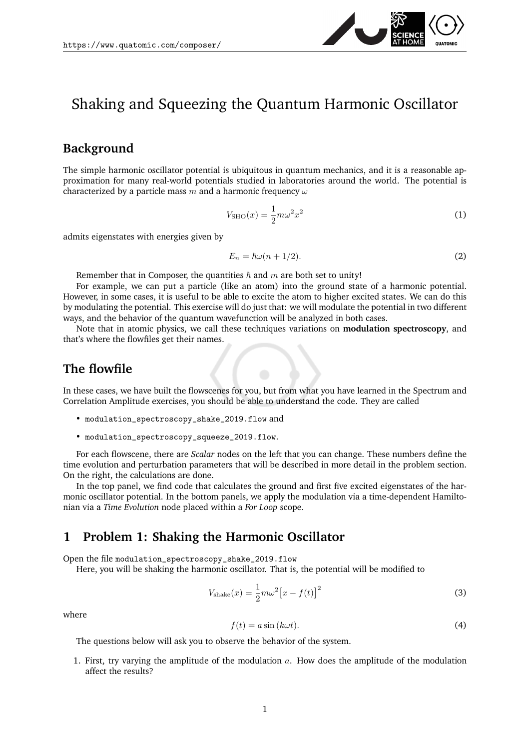

# Shaking and Squeezing the Quantum Harmonic Oscillator

### **Background**

The simple harmonic oscillator potential is ubiquitous in quantum mechanics, and it is a reasonable approximation for many real-world potentials studied in laboratories around the world. The potential is characterized by a particle mass m and a harmonic frequency  $\omega$ 

$$
V_{\text{SHO}}(x) = \frac{1}{2}m\omega^2 x^2\tag{1}
$$

admits eigenstates with energies given by

$$
E_n = \hbar\omega(n + 1/2). \tag{2}
$$

Remember that in Composer, the quantities  $\hbar$  and  $m$  are both set to unity!

For example, we can put a particle (like an atom) into the ground state of a harmonic potential. However, in some cases, it is useful to be able to excite the atom to higher excited states. We can do this by modulating the potential. This exercise will do just that: we will modulate the potential in two different ways, and the behavior of the quantum wavefunction will be analyzed in both cases.

Note that in atomic physics, we call these techniques variations on **modulation spectroscopy**, and that's where the flowfiles get their names.

### **The flowfile**

In these cases, we have built the flowscenes for you, but from what you have learned in the Spectrum and Correlation Amplitude exercises, you should be able to understand the code. They are called

- modulation\_spectroscopy\_shake\_2019.flow and
- modulation\_spectroscopy\_squeeze\_2019.flow.

For each flowscene, there are *Scalar* nodes on the left that you can change. These numbers define the time evolution and perturbation parameters that will be described in more detail in the problem section. On the right, the calculations are done.

In the top panel, we find code that calculates the ground and first five excited eigenstates of the harmonic oscillator potential. In the bottom panels, we apply the modulation via a time-dependent Hamiltonian via a *Time Evolution* node placed within a *For Loop* scope.

#### **1 Problem 1: Shaking the Harmonic Oscillator**

Open the file modulation\_spectroscopy\_shake\_2019.flow

Here, you will be shaking the harmonic oscillator. That is, the potential will be modified to

$$
V_{\text{shake}}(x) = \frac{1}{2} m \omega^2 \left[ x - f(t) \right]^2 \tag{3}
$$

where

<span id="page-0-0"></span>
$$
f(t) = a\sin(k\omega t). \tag{4}
$$

The questions below will ask you to observe the behavior of the system.

1. First, try varying the amplitude of the modulation  $a$ . How does the amplitude of the modulation affect the results?